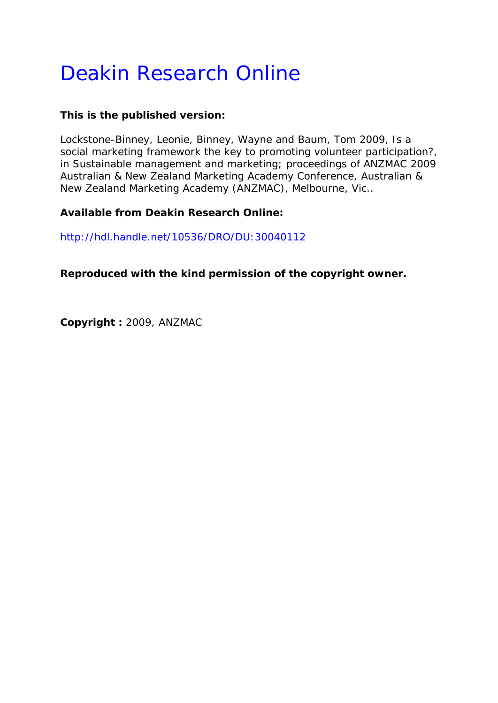# Deakin Research Online

## **This is the published version:**

Lockstone-Binney, Leonie, Binney, Wayne and Baum, Tom 2009, Is a social marketing framework the key to promoting volunteer participation?*, in Sustainable management and marketing; proceedings of ANZMAC 2009 Australian & New Zealand Marketing Academy Conference*, Australian & New Zealand Marketing Academy (ANZMAC), Melbourne, Vic..

## **Available from Deakin Research Online:**

http://hdl.handle.net/10536/DRO/DU:30040112

**Reproduced with the kind permission of the copyright owner.** 

**Copyright :** 2009, ANZMAC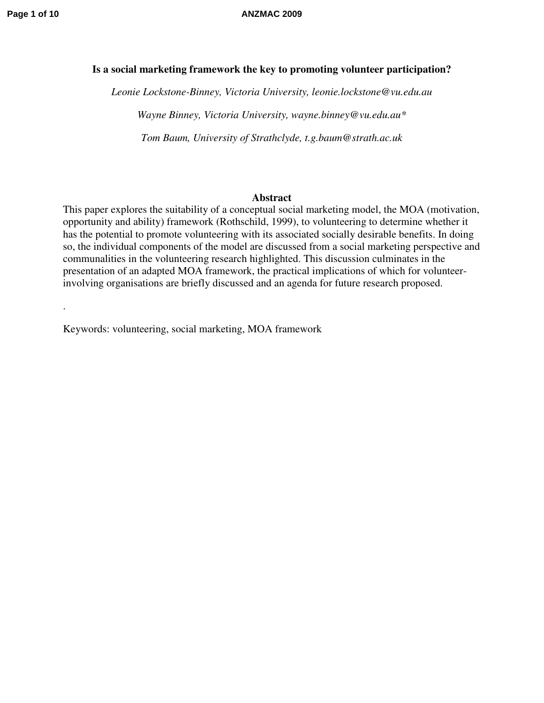.

#### **Page 1 of 10 ANZMAC 2009**

#### **Is a social marketing framework the key to promoting volunteer participation?**

*Leonie Lockstone-Binney, Victoria University, leonie.lockstone@vu.edu.au Wayne Binney, Victoria University, wayne.binney@vu.edu.au\* Tom Baum, University of Strathclyde, t.g.baum@strath.ac.uk* 

#### **Abstract**

This paper explores the suitability of a conceptual social marketing model, the MOA (motivation, opportunity and ability) framework (Rothschild, 1999), to volunteering to determine whether it has the potential to promote volunteering with its associated socially desirable benefits. In doing so, the individual components of the model are discussed from a social marketing perspective and communalities in the volunteering research highlighted. This discussion culminates in the presentation of an adapted MOA framework, the practical implications of which for volunteerinvolving organisations are briefly discussed and an agenda for future research proposed.

Keywords: volunteering, social marketing, MOA framework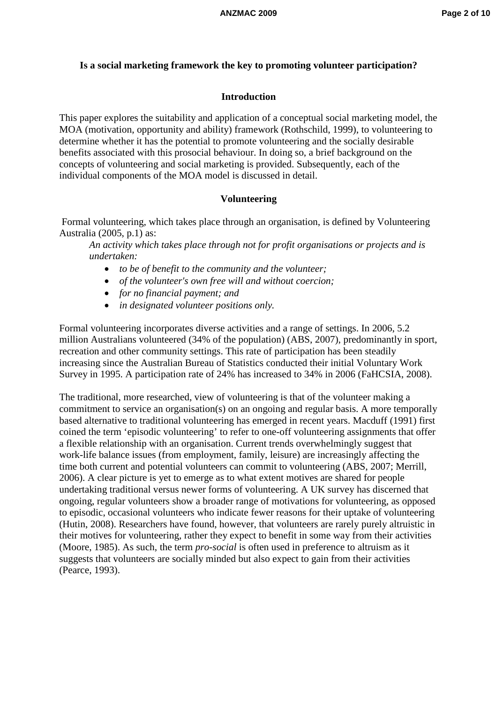#### **Is a social marketing framework the key to promoting volunteer participation?**

#### **Introduction**

This paper explores the suitability and application of a conceptual social marketing model, the MOA (motivation, opportunity and ability) framework (Rothschild, 1999), to volunteering to determine whether it has the potential to promote volunteering and the socially desirable benefits associated with this prosocial behaviour. In doing so, a brief background on the concepts of volunteering and social marketing is provided. Subsequently, each of the individual components of the MOA model is discussed in detail.

#### **Volunteering**

 Formal volunteering, which takes place through an organisation, is defined by Volunteering Australia (2005, p.1) as:

*An activity which takes place through not for profit organisations or projects and is undertaken:* 

- *to be of benefit to the community and the volunteer;*
- *of the volunteer's own free will and without coercion;*
- *for no financial payment; and*
- *in designated volunteer positions only.*

Formal volunteering incorporates diverse activities and a range of settings. In 2006, 5.2 million Australians volunteered (34% of the population) (ABS, 2007), predominantly in sport, recreation and other community settings. This rate of participation has been steadily increasing since the Australian Bureau of Statistics conducted their initial Voluntary Work Survey in 1995. A participation rate of 24% has increased to 34% in 2006 (FaHCSIA, 2008).

The traditional, more researched, view of volunteering is that of the volunteer making a commitment to service an organisation(s) on an ongoing and regular basis. A more temporally based alternative to traditional volunteering has emerged in recent years. Macduff (1991) first coined the term 'episodic volunteering' to refer to one-off volunteering assignments that offer a flexible relationship with an organisation. Current trends overwhelmingly suggest that work-life balance issues (from employment, family, leisure) are increasingly affecting the time both current and potential volunteers can commit to volunteering (ABS, 2007; Merrill, 2006). A clear picture is yet to emerge as to what extent motives are shared for people undertaking traditional versus newer forms of volunteering. A UK survey has discerned that ongoing, regular volunteers show a broader range of motivations for volunteering, as opposed to episodic, occasional volunteers who indicate fewer reasons for their uptake of volunteering (Hutin, 2008). Researchers have found, however, that volunteers are rarely purely altruistic in their motives for volunteering, rather they expect to benefit in some way from their activities (Moore, 1985). As such, the term *pro-social* is often used in preference to altruism as it suggests that volunteers are socially minded but also expect to gain from their activities (Pearce, 1993).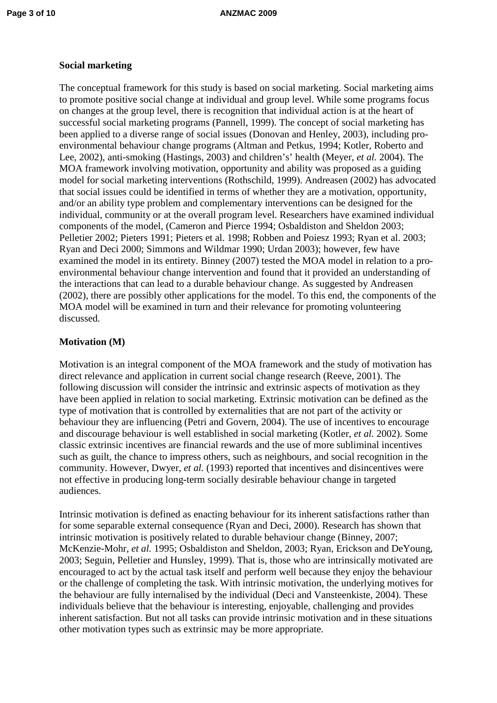### **Social marketing**

The conceptual framework for this study is based on social marketing. Social marketing aims to promote positive social change at individual and group level. While some programs focus on changes at the group level, there is recognition that individual action is at the heart of successful social marketing programs (Pannell, 1999). The concept of social marketing has been applied to a diverse range of social issues (Donovan and Henley, 2003), including proenvironmental behaviour change programs (Altman and Petkus, 1994; Kotler, Roberto and Lee, 2002), anti-smoking (Hastings, 2003) and children's' health (Meyer, *et al.* 2004). The MOA framework involving motivation, opportunity and ability was proposed as a guiding model for social marketing interventions (Rothschild, 1999). Andreasen (2002) has advocated that social issues could be identified in terms of whether they are a motivation, opportunity, and/or an ability type problem and complementary interventions can be designed for the individual, community or at the overall program level. Researchers have examined individual components of the model, (Cameron and Pierce 1994; Osbaldiston and Sheldon 2003; Pelletier 2002; Pieters 1991; Pieters et al. 1998; Robben and Poiesz 1993; Ryan et al. 2003; Ryan and Deci 2000; Simmons and Wildmar 1990; Urdan 2003); however, few have examined the model in its entirety. Binney (2007) tested the MOA model in relation to a proenvironmental behaviour change intervention and found that it provided an understanding of the interactions that can lead to a durable behaviour change. As suggested by Andreasen (2002), there are possibly other applications for the model. To this end, the components of the MOA model will be examined in turn and their relevance for promoting volunteering discussed.

#### **Motivation (M)**

Motivation is an integral component of the MOA framework and the study of motivation has direct relevance and application in current social change research (Reeve, 2001). The following discussion will consider the intrinsic and extrinsic aspects of motivation as they have been applied in relation to social marketing. Extrinsic motivation can be defined as the type of motivation that is controlled by externalities that are not part of the activity or behaviour they are influencing (Petri and Govern, 2004). The use of incentives to encourage and discourage behaviour is well established in social marketing (Kotler, *et al.* 2002). Some classic extrinsic incentives are financial rewards and the use of more subliminal incentives such as guilt, the chance to impress others, such as neighbours, and social recognition in the community. However, Dwyer, *et al.* (1993) reported that incentives and disincentives were not effective in producing long-term socially desirable behaviour change in targeted audiences.

Intrinsic motivation is defined as enacting behaviour for its inherent satisfactions rather than for some separable external consequence (Ryan and Deci, 2000). Research has shown that intrinsic motivation is positively related to durable behaviour change (Binney, 2007; McKenzie-Mohr, *et al.* 1995; Osbaldiston and Sheldon, 2003; Ryan, Erickson and DeYoung, 2003; Seguin, Pelletier and Hunsley, 1999). That is, those who are intrinsically motivated are encouraged to act by the actual task itself and perform well because they enjoy the behaviour or the challenge of completing the task. With intrinsic motivation, the underlying motives for the behaviour are fully internalised by the individual (Deci and Vansteenkiste, 2004). These individuals believe that the behaviour is interesting, enjoyable, challenging and provides inherent satisfaction. But not all tasks can provide intrinsic motivation and in these situations other motivation types such as extrinsic may be more appropriate.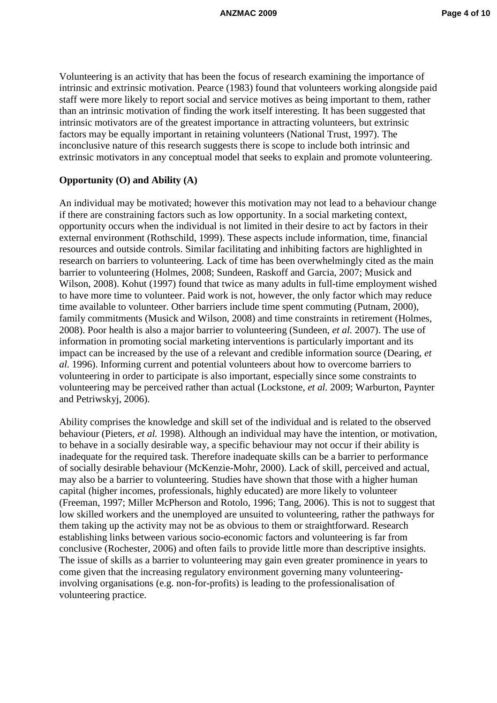Volunteering is an activity that has been the focus of research examining the importance of intrinsic and extrinsic motivation. Pearce (1983) found that volunteers working alongside paid staff were more likely to report social and service motives as being important to them, rather than an intrinsic motivation of finding the work itself interesting. It has been suggested that intrinsic motivators are of the greatest importance in attracting volunteers, but extrinsic factors may be equally important in retaining volunteers (National Trust, 1997). The inconclusive nature of this research suggests there is scope to include both intrinsic and extrinsic motivators in any conceptual model that seeks to explain and promote volunteering.

#### **Opportunity (O) and Ability (A)**

An individual may be motivated; however this motivation may not lead to a behaviour change if there are constraining factors such as low opportunity. In a social marketing context, opportunity occurs when the individual is not limited in their desire to act by factors in their external environment (Rothschild, 1999). These aspects include information, time, financial resources and outside controls. Similar facilitating and inhibiting factors are highlighted in research on barriers to volunteering. Lack of time has been overwhelmingly cited as the main barrier to volunteering (Holmes, 2008; Sundeen, Raskoff and Garcia, 2007; Musick and Wilson, 2008). Kohut (1997) found that twice as many adults in full-time employment wished to have more time to volunteer. Paid work is not, however, the only factor which may reduce time available to volunteer. Other barriers include time spent commuting (Putnam, 2000), family commitments (Musick and Wilson, 2008) and time constraints in retirement (Holmes, 2008). Poor health is also a major barrier to volunteering (Sundeen, *et al.* 2007). The use of information in promoting social marketing interventions is particularly important and its impact can be increased by the use of a relevant and credible information source (Dearing, *et al.* 1996). Informing current and potential volunteers about how to overcome barriers to volunteering in order to participate is also important, especially since some constraints to volunteering may be perceived rather than actual (Lockstone, *et al.* 2009; Warburton, Paynter and Petriwskyj, 2006).

Ability comprises the knowledge and skill set of the individual and is related to the observed behaviour (Pieters, *et al.* 1998). Although an individual may have the intention, or motivation, to behave in a socially desirable way, a specific behaviour may not occur if their ability is inadequate for the required task. Therefore inadequate skills can be a barrier to performance of socially desirable behaviour (McKenzie-Mohr, 2000). Lack of skill, perceived and actual, may also be a barrier to volunteering. Studies have shown that those with a higher human capital (higher incomes, professionals, highly educated) are more likely to volunteer (Freeman, 1997; Miller McPherson and Rotolo, 1996; Tang, 2006). This is not to suggest that low skilled workers and the unemployed are unsuited to volunteering, rather the pathways for them taking up the activity may not be as obvious to them or straightforward. Research establishing links between various socio-economic factors and volunteering is far from conclusive (Rochester, 2006) and often fails to provide little more than descriptive insights. The issue of skills as a barrier to volunteering may gain even greater prominence in years to come given that the increasing regulatory environment governing many volunteeringinvolving organisations (e.g. non-for-profits) is leading to the professionalisation of volunteering practice.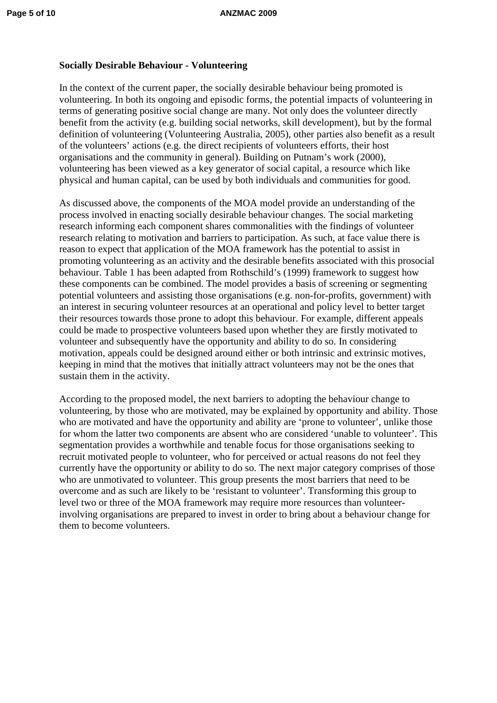### **Socially Desirable Behaviour - Volunteering**

In the context of the current paper, the socially desirable behaviour being promoted is volunteering. In both its ongoing and episodic forms, the potential impacts of volunteering in terms of generating positive social change are many. Not only does the volunteer directly benefit from the activity (e.g. building social networks, skill development), but by the formal definition of volunteering (Volunteering Australia, 2005), other parties also benefit as a result of the volunteers' actions (e.g. the direct recipients of volunteers efforts, their host organisations and the community in general). Building on Putnam's work (2000), volunteering has been viewed as a key generator of social capital, a resource which like physical and human capital, can be used by both individuals and communities for good.

As discussed above, the components of the MOA model provide an understanding of the process involved in enacting socially desirable behaviour changes. The social marketing research informing each component shares commonalities with the findings of volunteer research relating to motivation and barriers to participation. As such, at face value there is reason to expect that application of the MOA framework has the potential to assist in promoting volunteering as an activity and the desirable benefits associated with this prosocial behaviour. Table 1 has been adapted from Rothschild's (1999) framework to suggest how these components can be combined. The model provides a basis of screening or segmenting potential volunteers and assisting those organisations (e.g. non-for-profits, government) with an interest in securing volunteer resources at an operational and policy level to better target their resources towards those prone to adopt this behaviour. For example, different appeals could be made to prospective volunteers based upon whether they are firstly motivated to volunteer and subsequently have the opportunity and ability to do so. In considering motivation, appeals could be designed around either or both intrinsic and extrinsic motives, keeping in mind that the motives that initially attract volunteers may not be the ones that sustain them in the activity.

According to the proposed model, the next barriers to adopting the behaviour change to volunteering, by those who are motivated, may be explained by opportunity and ability. Those who are motivated and have the opportunity and ability are 'prone to volunteer', unlike those for whom the latter two components are absent who are considered 'unable to volunteer'. This segmentation provides a worthwhile and tenable focus for those organisations seeking to recruit motivated people to volunteer, who for perceived or actual reasons do not feel they currently have the opportunity or ability to do so. The next major category comprises of those who are unmotivated to volunteer. This group presents the most barriers that need to be overcome and as such are likely to be 'resistant to volunteer'. Transforming this group to level two or three of the MOA framework may require more resources than volunteerinvolving organisations are prepared to invest in order to bring about a behaviour change for them to become volunteers.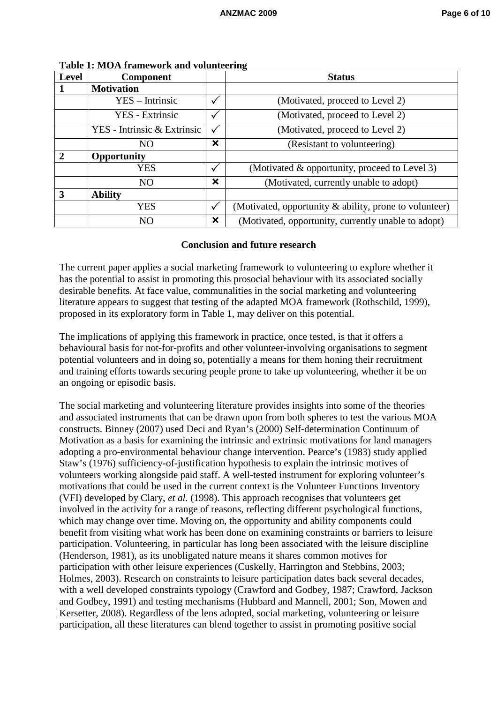| <b>Level</b>  | <b>Component</b>            |                           | <b>Status</b>                                          |
|---------------|-----------------------------|---------------------------|--------------------------------------------------------|
|               | <b>Motivation</b>           |                           |                                                        |
|               | $YES - Intrinsic$           |                           | (Motivated, proceed to Level 2)                        |
|               | <b>YES</b> - Extrinsic      |                           | (Motivated, proceed to Level 2)                        |
|               | YES - Intrinsic & Extrinsic | ✓                         | (Motivated, proceed to Level 2)                        |
|               | N <sub>O</sub>              | $\boldsymbol{\mathsf{x}}$ | (Resistant to volunteering)                            |
| $\mathcal{D}$ | <b>Opportunity</b>          |                           |                                                        |
|               | <b>YES</b>                  | ✓                         | (Motivated & opportunity, proceed to Level 3)          |
|               | N <sub>O</sub>              | $\boldsymbol{\mathsf{x}}$ | (Motivated, currently unable to adopt)                 |
| 3             | <b>Ability</b>              |                           |                                                        |
|               | <b>YES</b>                  | $\checkmark$              | (Motivated, opportunity & ability, prone to volunteer) |
|               | NO                          | ×                         | (Motivated, opportunity, currently unable to adopt)    |

**Table 1: MOA framework and volunteering** 

#### **Conclusion and future research**

The current paper applies a social marketing framework to volunteering to explore whether it has the potential to assist in promoting this prosocial behaviour with its associated socially desirable benefits. At face value, communalities in the social marketing and volunteering literature appears to suggest that testing of the adapted MOA framework (Rothschild, 1999), proposed in its exploratory form in Table 1, may deliver on this potential.

The implications of applying this framework in practice, once tested, is that it offers a behavioural basis for not-for-profits and other volunteer-involving organisations to segment potential volunteers and in doing so, potentially a means for them honing their recruitment and training efforts towards securing people prone to take up volunteering, whether it be on an ongoing or episodic basis.

The social marketing and volunteering literature provides insights into some of the theories and associated instruments that can be drawn upon from both spheres to test the various MOA constructs. Binney (2007) used Deci and Ryan's (2000) Self-determination Continuum of Motivation as a basis for examining the intrinsic and extrinsic motivations for land managers adopting a pro-environmental behaviour change intervention. Pearce's (1983) study applied Staw's (1976) sufficiency-of-justification hypothesis to explain the intrinsic motives of volunteers working alongside paid staff. A well-tested instrument for exploring volunteer's motivations that could be used in the current context is the Volunteer Functions Inventory (VFI) developed by Clary, *et al.* (1998). This approach recognises that volunteers get involved in the activity for a range of reasons, reflecting different psychological functions, which may change over time. Moving on, the opportunity and ability components could benefit from visiting what work has been done on examining constraints or barriers to leisure participation. Volunteering, in particular has long been associated with the leisure discipline (Henderson, 1981), as its unobligated nature means it shares common motives for participation with other leisure experiences (Cuskelly, Harrington and Stebbins, 2003; Holmes, 2003). Research on constraints to leisure participation dates back several decades, with a well developed constraints typology (Crawford and Godbey, 1987; Crawford, Jackson and Godbey, 1991) and testing mechanisms (Hubbard and Mannell, 2001; Son, Mowen and Kersetter, 2008). Regardless of the lens adopted, social marketing, volunteering or leisure participation, all these literatures can blend together to assist in promoting positive social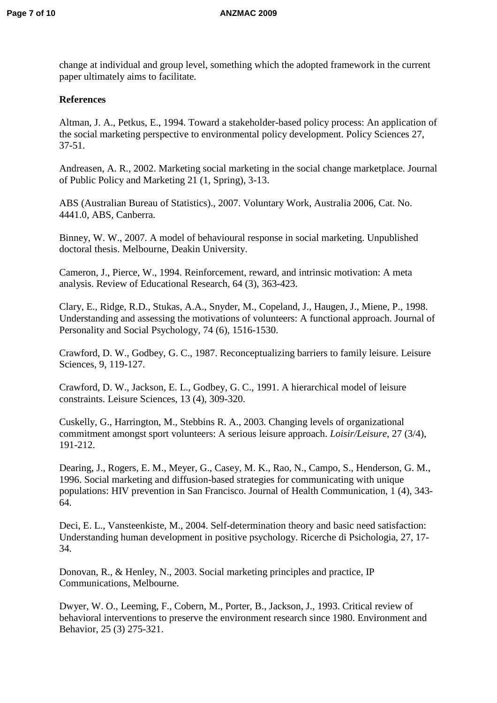change at individual and group level, something which the adopted framework in the current paper ultimately aims to facilitate.

#### **References**

Altman, J. A., Petkus, E., 1994. Toward a stakeholder-based policy process: An application of the social marketing perspective to environmental policy development. Policy Sciences 27, 37-51.

Andreasen, A. R., 2002. Marketing social marketing in the social change marketplace. Journal of Public Policy and Marketing 21 (1, Spring), 3-13.

ABS (Australian Bureau of Statistics)., 2007. Voluntary Work, Australia 2006, Cat. No. 4441.0, ABS, Canberra.

Binney, W. W., 2007. A model of behavioural response in social marketing. Unpublished doctoral thesis. Melbourne, Deakin University.

Cameron, J., Pierce, W., 1994. Reinforcement, reward, and intrinsic motivation: A meta analysis. Review of Educational Research, 64 (3), 363-423.

Clary, E., Ridge, R.D., Stukas, A.A., Snyder, M., Copeland, J., Haugen, J., Miene, P., 1998. Understanding and assessing the motivations of volunteers: A functional approach. Journal of Personality and Social Psychology*,* 74 (6), 1516-1530.

Crawford, D. W., Godbey, G. C., 1987. Reconceptualizing barriers to family leisure. Leisure Sciences, 9, 119-127.

Crawford, D. W., Jackson, E. L., Godbey, G. C., 1991. A hierarchical model of leisure constraints. Leisure Sciences, 13 (4), 309-320.

Cuskelly, G., Harrington, M., Stebbins R. A., 2003. Changing levels of organizational commitment amongst sport volunteers: A serious leisure approach. *Loisir/Leisure*, 27 (3/4), 191-212.

Dearing, J., Rogers, E. M., Meyer, G., Casey, M. K., Rao, N., Campo, S., Henderson, G. M., 1996. Social marketing and diffusion-based strategies for communicating with unique populations: HIV prevention in San Francisco. Journal of Health Communication, 1 (4), 343- 64.

Deci, E. L., Vansteenkiste, M., 2004. Self-determination theory and basic need satisfaction: Understanding human development in positive psychology. Ricerche di Psichologia, 27, 17- 34.

Donovan, R., & Henley, N., 2003. Social marketing principles and practice*,* IP Communications, Melbourne.

Dwyer, W. O., Leeming, F., Cobern, M., Porter, B., Jackson, J., 1993. Critical review of behavioral interventions to preserve the environment research since 1980. Environment and Behavior, 25 (3) 275-321.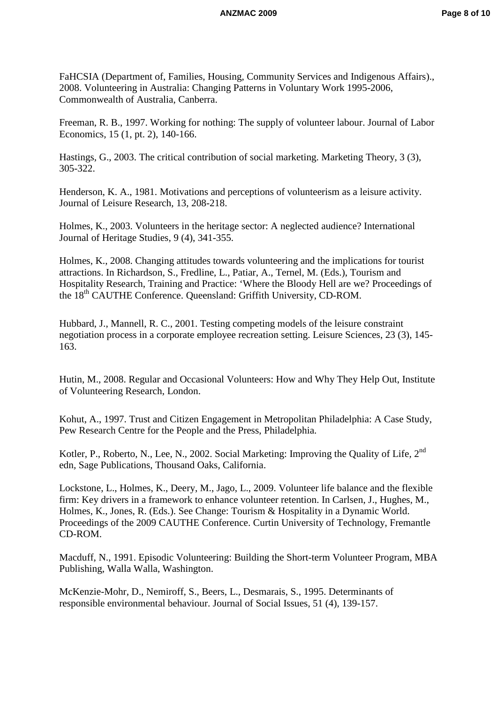FaHCSIA (Department of, Families, Housing, Community Services and Indigenous Affairs)., 2008. Volunteering in Australia: Changing Patterns in Voluntary Work 1995-2006, Commonwealth of Australia, Canberra.

Freeman, R. B., 1997. Working for nothing: The supply of volunteer labour. Journal of Labor Economics*,* 15 (1, pt. 2), 140-166.

Hastings, G., 2003. The critical contribution of social marketing. Marketing Theory, 3 (3), 305-322.

Henderson, K. A., 1981. Motivations and perceptions of volunteerism as a leisure activity. Journal of Leisure Research*,* 13, 208-218.

Holmes, K., 2003. Volunteers in the heritage sector: A neglected audience? International Journal of Heritage Studies*,* 9 (4), 341-355.

Holmes, K., 2008. Changing attitudes towards volunteering and the implications for tourist attractions. In Richardson, S., Fredline, L., Patiar, A., Ternel, M. (Eds.), Tourism and Hospitality Research, Training and Practice: 'Where the Bloody Hell are we? Proceedings of the 18<sup>th</sup> CAUTHE Conference. Queensland: Griffith University, CD-ROM.

Hubbard, J., Mannell, R. C., 2001. Testing competing models of the leisure constraint negotiation process in a corporate employee recreation setting. Leisure Sciences, 23 (3), 145- 163.

Hutin, M., 2008. Regular and Occasional Volunteers: How and Why They Help Out, Institute of Volunteering Research, London.

Kohut, A., 1997. Trust and Citizen Engagement in Metropolitan Philadelphia: A Case Study, Pew Research Centre for the People and the Press, Philadelphia.

Kotler, P., Roberto, N., Lee, N., 2002. Social Marketing: Improving the Quality of Life, 2<sup>nd</sup> edn*,* Sage Publications, Thousand Oaks, California.

Lockstone, L., Holmes, K., Deery, M., Jago, L., 2009. Volunteer life balance and the flexible firm: Key drivers in a framework to enhance volunteer retention. In Carlsen, J., Hughes, M., Holmes, K., Jones, R. (Eds.). See Change: Tourism & Hospitality in a Dynamic World. Proceedings of the 2009 CAUTHE Conference. Curtin University of Technology, Fremantle CD-ROM.

Macduff, N., 1991. Episodic Volunteering: Building the Short-term Volunteer Program, MBA Publishing, Walla Walla, Washington.

McKenzie-Mohr, D., Nemiroff, S., Beers, L., Desmarais, S., 1995. Determinants of responsible environmental behaviour. Journal of Social Issues, 51 (4), 139-157.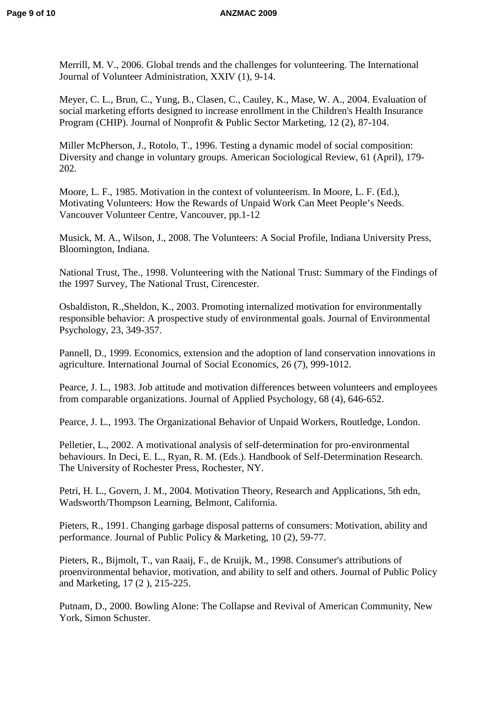Merrill, M. V., 2006. Global trends and the challenges for volunteering. The International Journal of Volunteer Administration*,* XXIV (1), 9-14.

Meyer, C. L., Brun, C., Yung, B., Clasen, C., Cauley, K., Mase, W. A., 2004. Evaluation of social marketing efforts designed to increase enrollment in the Children's Health Insurance Program (CHIP). Journal of Nonprofit & Public Sector Marketing, 12 (2), 87-104.

Miller McPherson, J., Rotolo, T., 1996. Testing a dynamic model of social composition: Diversity and change in voluntary groups. American Sociological Review*,* 61 (April), 179- 202.

Moore, L. F., 1985. Motivation in the context of volunteerism. In Moore, L. F. (Ed.), Motivating Volunteers: How the Rewards of Unpaid Work Can Meet People's Needs. Vancouver Volunteer Centre, Vancouver, pp.1-12

Musick, M. A., Wilson, J., 2008. The Volunteers: A Social Profile, Indiana University Press, Bloomington, Indiana.

National Trust, The., 1998. Volunteering with the National Trust: Summary of the Findings of the 1997 Survey, The National Trust, Cirencester.

Osbaldiston, R.,Sheldon, K., 2003. Promoting internalized motivation for environmentally responsible behavior: A prospective study of environmental goals. Journal of Environmental Psychology, 23, 349-357.

Pannell, D., 1999. Economics, extension and the adoption of land conservation innovations in agriculture. International Journal of Social Economics, 26 (7), 999-1012.

Pearce, J. L., 1983. Job attitude and motivation differences between volunteers and employees from comparable organizations. Journal of Applied Psychology, 68 (4), 646-652.

Pearce, J. L., 1993. The Organizational Behavior of Unpaid Workers, Routledge, London.

Pelletier, L., 2002. A motivational analysis of self-determination for pro-environmental behaviours. In Deci, E. L., Ryan, R. M. (Eds.). Handbook of Self-Determination Research. The University of Rochester Press, Rochester, NY.

Petri, H. L., Govern, J. M., 2004. Motivation Theory, Research and Applications*,* 5th edn*,*  Wadsworth/Thompson Learning, Belmont, California.

Pieters, R., 1991. Changing garbage disposal patterns of consumers: Motivation, ability and performance. Journal of Public Policy & Marketing, 10 (2), 59-77.

Pieters, R., Bijmolt, T., van Raaij, F., de Kruijk, M., 1998. Consumer's attributions of proenvironmental behavior, motivation, and ability to self and others. Journal of Public Policy and Marketing, 17 (2 ), 215-225.

Putnam, D., 2000. Bowling Alone: The Collapse and Revival of American Community, New York, Simon Schuster.